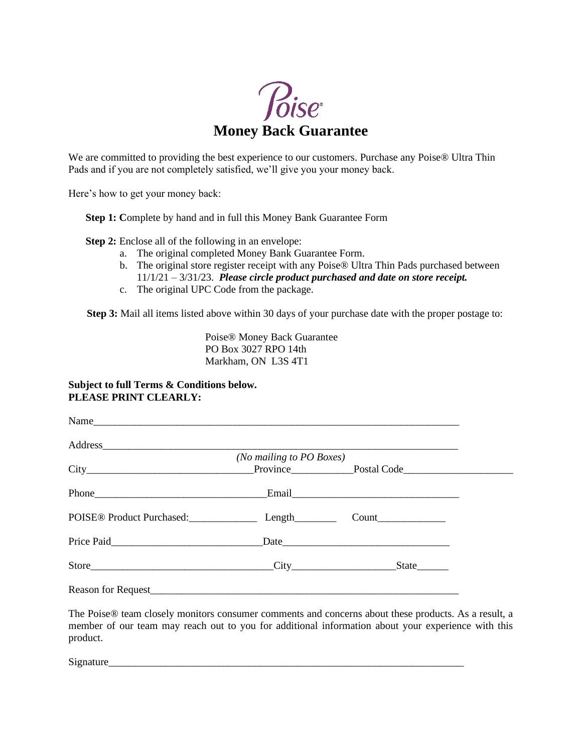

We are committed to providing the best experience to our customers. Purchase any Poise® Ultra Thin Pads and if you are not completely satisfied, we'll give you your money back.

Here's how to get your money back:

**Step 1: C**omplete by hand and in full this Money Bank Guarantee Form

**Step 2:** Enclose all of the following in an envelope:

- a. The original completed Money Bank Guarantee Form.
- b. The original store register receipt with any Poise® Ultra Thin Pads purchased between 11/1/21 – 3/31/23. *Please circle product purchased and date on store receipt.*
- c. The original UPC Code from the package.

**Step 3:** Mail all items listed above within 30 days of your purchase date with the proper postage to:

Poise® Money Back Guarantee PO Box 3027 RPO 14th Markham, ON L3S 4T1

## **Subject to full Terms & Conditions below. PLEASE PRINT CLEARLY:**

| Reason for Request experience and the contract of the contract of the contract of the contract of the contract of the contract of the contract of the contract of the contract of the contract of the contract of the contract |                                     |
|--------------------------------------------------------------------------------------------------------------------------------------------------------------------------------------------------------------------------------|-------------------------------------|
|                                                                                                                                                                                                                                | Address<br>(No mailing to PO Boxes) |

The Poise® team closely monitors consumer comments and concerns about these products. As a result, a member of our team may reach out to you for additional information about your experience with this product.

Signature